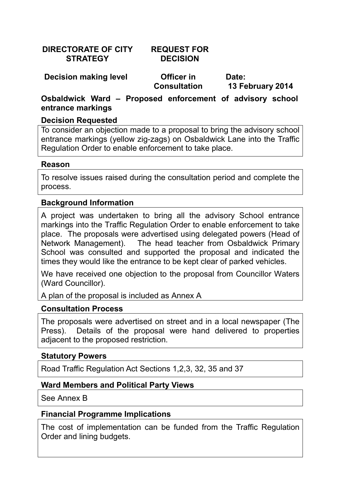**DIRECTORATE OF CITY STRATEGY** 

## **REQUEST FOR DECISION**

**Decision making level Centillian Control** 

**Consultation** 

**Date: 13 February 2014** 

**Osbaldwick Ward – Proposed enforcement of advisory school entrance markings** 

### **Decision Requested**

To consider an objection made to a proposal to bring the advisory school entrance markings (yellow zig-zags) on Osbaldwick Lane into the Traffic Regulation Order to enable enforcement to take place.

#### **Reason**

To resolve issues raised during the consultation period and complete the process.

### **Background Information**

A project was undertaken to bring all the advisory School entrance markings into the Traffic Regulation Order to enable enforcement to take place. The proposals were advertised using delegated powers (Head of Network Management). The head teacher from Osbaldwick Primary School was consulted and supported the proposal and indicated the times they would like the entrance to be kept clear of parked vehicles.

We have received one objection to the proposal from Councillor Waters (Ward Councillor).

A plan of the proposal is included as Annex A

#### **Consultation Process**

The proposals were advertised on street and in a local newspaper (The Press). Details of the proposal were hand delivered to properties adjacent to the proposed restriction.

#### **Statutory Powers**

Road Traffic Regulation Act Sections 1,2,3, 32, 35 and 37

## **Ward Members and Political Party Views**

See Annex B

## **Financial Programme Implications**

The cost of implementation can be funded from the Traffic Regulation Order and lining budgets.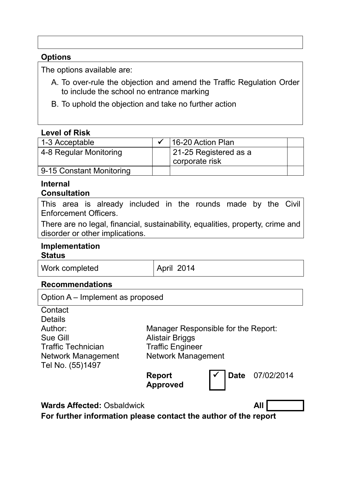## **Options**

The options available are:

- A. To over-rule the objection and amend the Traffic Regulation Order to include the school no entrance marking
- B. To uphold the objection and take no further action

## **Level of Risk**

| 1-3 Acceptable           | 16-20 Action Plan     |  |
|--------------------------|-----------------------|--|
| 4-8 Regular Monitoring   | 21-25 Registered as a |  |
|                          | corporate risk        |  |
| 9-15 Constant Monitoring |                       |  |

#### **Internal Consultation**

This area is already included in the rounds made by the Civil Enforcement Officers.

There are no legal, financial, sustainability, equalities, property, crime and disorder or other implications.

### **Implementation Status**

| Work completed |  |
|----------------|--|
|                |  |

April 2014

## **Recommendations**

Option A – Implement as proposed

**Contact Details** Author: Sue Gill Traffic Technician Network Management Tel No. (55)1497

Manager Responsible for the Report: Alistair Briggs Traffic Engineer Network Management



ü **Date** 07/02/2014

**Wards Affected: Osbaldwick All** 

**For further information please contact the author of the report**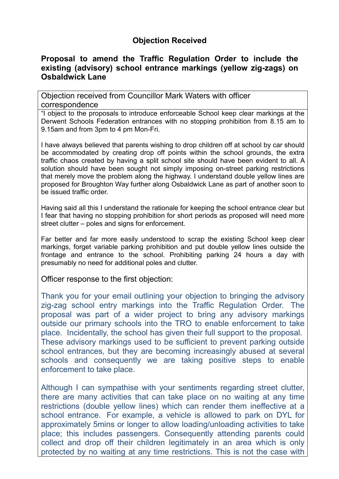## **Objection Received**

### **Proposal to amend the Traffic Regulation Order to include the existing (advisory) school entrance markings (yellow zig-zags) on Osbaldwick Lane**

Objection received from Councillor Mark Waters with officer correspondence

"I object to the proposals to introduce enforceable School keep clear markings at the Derwent Schools Federation entrances with no stopping prohibition from 8.15 am to 9.15am and from 3pm to 4 pm Mon-Fri.

I have always believed that parents wishing to drop children off at school by car should be accommodated by creating drop off points within the school grounds, the extra traffic chaos created by having a split school site should have been evident to all. A solution should have been sought not simply imposing on-street parking restrictions that merely move the problem along the highway. I understand double yellow lines are proposed for Broughton Way further along Osbaldwick Lane as part of another soon to be issued traffic order.

Having said all this I understand the rationale for keeping the school entrance clear but I fear that having no stopping prohibition for short periods as proposed will need more street clutter – poles and signs for enforcement.

Far better and far more easily understood to scrap the existing School keep clear markings, forget variable parking prohibition and put double yellow lines outside the frontage and entrance to the school. Prohibiting parking 24 hours a day with presumably no need for additional poles and clutter.

Officer response to the first objection:

Thank you for your email outlining your objection to bringing the advisory zig-zag school entry markings into the Traffic Regulation Order. The proposal was part of a wider project to bring any advisory markings outside our primary schools into the TRO to enable enforcement to take place. Incidentally, the school has given their full support to the proposal. These advisory markings used to be sufficient to prevent parking outside school entrances, but they are becoming increasingly abused at several schools and consequently we are taking positive steps to enable enforcement to take place.

Although I can sympathise with your sentiments regarding street clutter, there are many activities that can take place on no waiting at any time restrictions (double yellow lines) which can render them ineffective at a school entrance. For example, a vehicle is allowed to park on DYL for approximately 5mins or longer to allow loading/unloading activities to take place; this includes passengers. Consequently attending parents could collect and drop off their children legitimately in an area which is only protected by no waiting at any time restrictions. This is not the case with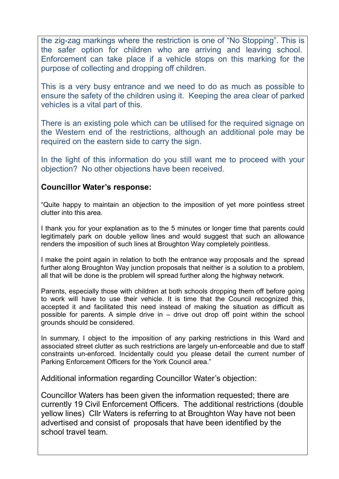the zig-zag markings where the restriction is one of "No Stopping". This is the safer option for children who are arriving and leaving school. Enforcement can take place if a vehicle stops on this marking for the purpose of collecting and dropping off children.

This is a very busy entrance and we need to do as much as possible to ensure the safety of the children using it. Keeping the area clear of parked vehicles is a vital part of this.

There is an existing pole which can be utilised for the required signage on the Western end of the restrictions, although an additional pole may be required on the eastern side to carry the sign.

In the light of this information do you still want me to proceed with your objection? No other objections have been received.

#### **Councillor Water's response:**

"Quite happy to maintain an objection to the imposition of yet more pointless street clutter into this area.

I thank you for your explanation as to the 5 minutes or longer time that parents could legitimately park on double yellow lines and would suggest that such an allowance renders the imposition of such lines at Broughton Way completely pointless.

I make the point again in relation to both the entrance way proposals and the spread further along Broughton Way junction proposals that neither is a solution to a problem, all that will be done is the problem will spread further along the highway network.

Parents, especially those with children at both schools dropping them off before going to work will have to use their vehicle. It is time that the Council recognized this, accepted it and facilitated this need instead of making the situation as difficult as possible for parents. A simple drive in – drive out drop off point within the school grounds should be considered.

In summary, I object to the imposition of any parking restrictions in this Ward and associated street clutter as such restrictions are largely un-enforceable and due to staff constraints un-enforced. Incidentally could you please detail the current number of Parking Enforcement Officers for the York Council area."

Additional information regarding Councillor Water's objection:

Councillor Waters has been given the information requested; there are currently 19 Civil Enforcement Officers. The additional restrictions (double yellow lines) Cllr Waters is referring to at Broughton Way have not been advertised and consist of proposals that have been identified by the school travel team.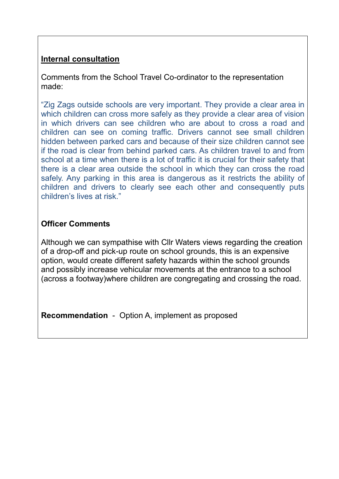# **Internal consultation**

Comments from the School Travel Co-ordinator to the representation made:

"Zig Zags outside schools are very important. They provide a clear area in which children can cross more safely as they provide a clear area of vision in which drivers can see children who are about to cross a road and children can see on coming traffic. Drivers cannot see small children hidden between parked cars and because of their size children cannot see if the road is clear from behind parked cars. As children travel to and from school at a time when there is a lot of traffic it is crucial for their safety that there is a clear area outside the school in which they can cross the road safely. Any parking in this area is dangerous as it restricts the ability of children and drivers to clearly see each other and consequently puts children's lives at risk."

## **Officer Comments**

Although we can sympathise with Cllr Waters views regarding the creation of a drop-off and pick-up route on school grounds, this is an expensive option, would create different safety hazards within the school grounds and possibly increase vehicular movements at the entrance to a school (across a footway)where children are congregating and crossing the road.

**Recommendation** - Option A, implement as proposed